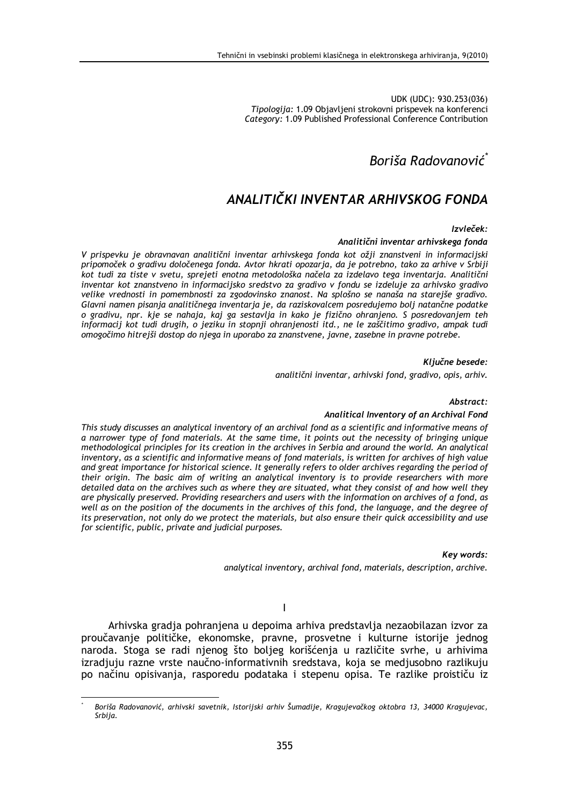UDK (UDC): 930.253(036) Tipologija: 1.09 Objavljeni strokovni prispevek na konferenci Category: 1.09 Published Professional Conference Contribution

# Boriša Radovanović<sup>\*</sup>

# ANALITIČKI INVENTAR ARHIVSKOG FONDA

## Izvleček:

## Analitični inventar arhivskega fonda

V prispevku je obravnavan analitični inventar arhivskega fonda kot ožji znanstveni in informacijski pripomoček o gradivu določenega fonda. Avtor hkrati opozarja, da je potrebno, tako za arhive v Srbiji kot tudi za tiste v svetu, sprejeti enotna metodološka načela za izdelavo tega inventarja. Analitični inventar kot znanstveno in informacijsko sredstvo za gradivo v fondu se izdeluje za arhivsko gradivo velike vrednosti in pomembnosti za zgodovinsko znanost. Na splošno se nanaša na starejše gradivo. Glavni namen pisanja analitičnega inventarja je, da raziskovalcem posredujemo bolj natančne podatke o gradivu, npr. kje se nahaja, kaj ga sestavlja in kako je fizično ohranjeno. S posredovanjem teh informacii kot tudi drugih, o jeziku in stopnij ohranjenosti itd., ne le zaščitimo gradivo, ampak tudi omogočimo hitrejši dostop do njega in uporabo za znanstvene, javne, zasebne in pravne potrebe.

## Kliučne besede:

analitični inventar, arhivski fond, gradivo, opis, arhiv.

### Abstract:

### Analitical Inventory of an Archival Fond

This study discusses an analytical inventory of an archival fond as a scientific and informative means of a narrower type of fond materials. At the same time, it points out the necessity of bringing unique methodological principles for its creation in the archives in Serbia and around the world. An analytical inventory, as a scientific and informative means of fond materials, is written for archives of high value and great importance for historical science. It generally refers to older archives regarding the period of their origin. The basic aim of writing an analytical inventory is to provide researchers with more detailed data on the archives such as where they are situated, what they consist of and how well they are physically preserved. Providing researchers and users with the information on archives of a fond, as well as on the position of the documents in the archives of this fond, the language, and the degree of its preservation, not only do we protect the materials, but also ensure their quick accessibility and use for scientific, public, private and judicial purposes.

### Key words:

analytical inventory, archival fond, materials, description, archive.

 $\overline{1}$ 

Arhivska gradja pohranjena u depoima arhiva predstavlja nezaobilazan izvor za proučavanje političke, ekonomske, pravne, prosvetne i kulturne istorije jednog naroda. Stoga se radi njenog što boljeg korišćenja u različite svrhe, u arhivima izradjuju razne vrste naučno-informativnih sredstava, koja se medjusobno razlikuju po načinu opisivanja, rasporedu podataka i stepenu opisa. Te razlike proističu iz

Boriša Radovanović, arhivski savetnik, Istorijski arhiv Šumadije, Kragujevačkog oktobra 13, 34000 Kragujevac, Srbija.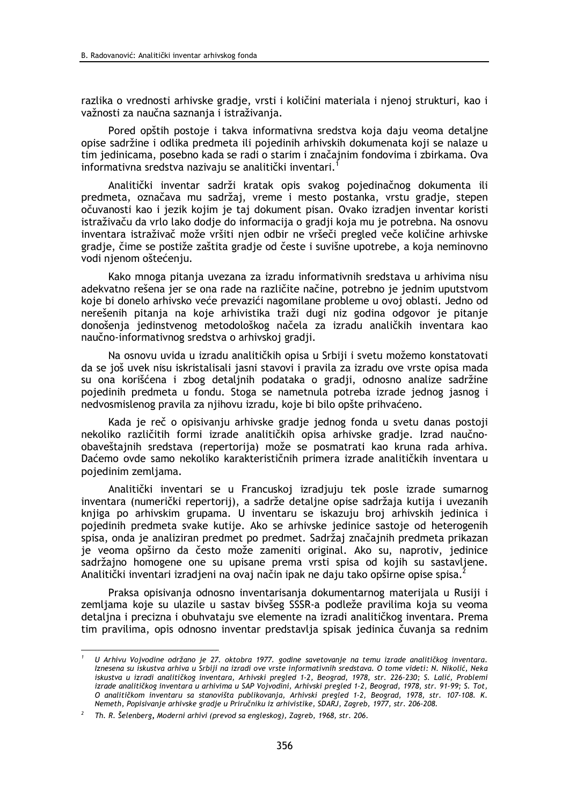razlika o vrednosti arhivske gradje, vrsti i količini materiala i njenoj strukturi, kao i važnosti za naučna saznanja i istraživanja.

Pored opštih postoje i takva informativna sredstva koja daju veoma detaljne opise sadržine i odlika predmeta ili pojedinih arhivskih dokumenata koji se nalaze u tim jedinicama, posebno kada se radi o starim i značajnim fondovima i zbirkama. Ova informativna sredstva nazivaju se analitički inventari.<sup>1</sup>

Analitički inventar sadrži kratak opis svakog pojedinačnog dokumenta ili predmeta, označava mu sadržaj, vreme i mesto postanka, vrstu gradje, stepen očuvanosti kao i jezik kojim je taj dokument pisan. Ovako izradjen inventar koristi istraživaču da vrlo lako dodje do informacija o gradji koja mu je potrebna. Na osnovu inventara istraživač može vršiti njen odbir ne vršeči pregled veče količine arhivske gradie, čime se postiže zaštita gradie od česte i suvišne upotrebe, a koja neminovno vodi njenom oštećenju.

Kako mnoga pitanja uvezana za izradu informativnih sredstava u arhivima nisu adekvatno rešena jer se ona rade na različite načine, potrebno je jednim uputstvom koje bi donelo arhivsko veće prevazići nagomilane probleme u ovoj oblasti. Jedno od nerešenih pitanja na koje arhivistika traži dugi niz godina odgovor je pitanje donošenja jedinstvenog metodološkog načela za izradu analičkih inventara kao naučno-informativnog sredstva o arhivskoj gradji.

Na osnovu uvida u izradu analitičkih opisa u Srbiji i svetu možemo konstatovati da se još uvek nisu iskristalisali jasni stavovi i pravila za izradu ove vrste opisa mada su ona korišćena i zbog detaljnih podataka o gradji, odnosno analize sadržine pojedinih predmeta u fondu. Stoga se nametnula potreba izrade jednog jasnog i nedvosmislenog pravila za njihovu izradu, koje bi bilo opšte prihvaćeno.

Kada je reč o opisivanju arhivske gradje jednog fonda u svetu danas postoji nekoliko različitih formi izrade analitičkih opisa arhivske gradie. Izrad naučnoobaveštajnih sredstava (repertorija) može se posmatrati kao kruna rada arhiva. Daćemo ovde samo nekoliko karakterističnih primera izrade analitičkih inventara u pojedinim zemljama.

Analitički inventari se u Francuskoj izradjuju tek posle izrade sumarnog inventara (numerički repertorij), a sadrže detaljne opise sadržaja kutija i uvezanih knjiga po arhivskim grupama. U inventaru se iskazuju broj arhivskih jedinica i pojedinih predmeta svake kutije. Ako se arhivske jedinice sastoje od heterogenih spisa, onda je analiziran predmet po predmet. Sadržaj značajnih predmeta prikazan je veoma opširno da često može zameniti original. Ako su, naprotiv, jedinice sadržajno homogene one su upisane prema vrsti spisa od kojih su sastavljene. Analitički inventari izradjeni na ovaj način ipak ne daju tako opširne opise spisa.

Praksa opisivania odnosno inventarisania dokumentarnog materijala u Rusiji i zemljama koje su ulazile u sastav bivšeg SSSR-a podleže pravilima koja su veoma detalina i precizna i obuhvataju sve elemente na izradi analitičkog inventara. Prema tim pravilima, opis odnosno inventar predstavlja spisak jedinica čuvanja sa rednim

U Arhivu Vojvodine održano je 27. oktobra 1977. godine savetovanje na temu izrade analitičkog inventara. Iznesena su iskustva arhiva u Srbiji na izradi ove vrste informativnih sredstava. O tome videti: N. Nikolić, Neka iskustva u izradi analitičkog inventara, Arhivski pregled 1-2, Beograd, 1978, str. 226-230; S. Lalić, Problemi izrade analitičkog inventara u arhivima u SAP Vojvodini, Arhivski pregled 1-2, Beograd, 1978, str. 91-99; S. Tot, O analitičkom inventaru sa stanovišta publikovanja, Arhivski pregled 1-2, Beograd, 1978, str. 107-108. K. Nemeth, Popisivanje arhivske gradje u Priručniku iz arhivistike, SDARJ, Zagreb, 1977, str. 206-208.

<sup>&</sup>lt;sup>2</sup> Th. R. Šelenberg, Moderni arhivi (prevod sa engleskog), Zagreb, 1968, str. 206.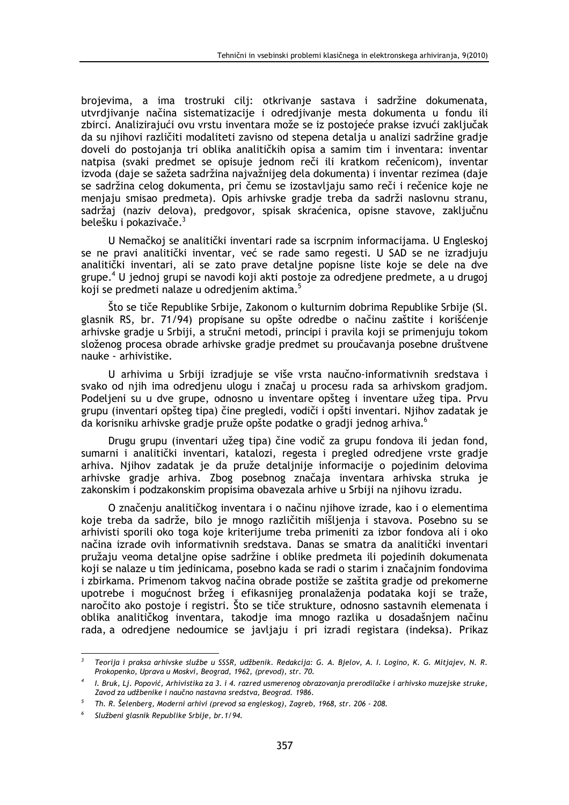brojevima, a ima trostruki cilj: otkrivanje sastava i sadržine dokumenata, utvrdjivanje načina sistematizacije i odredjivanje mesta dokumenta u fondu ili zbirci. Analizirajući ovu vrstu inventara može se iz postojeće prakse izvući zaključak da su njihovi različiti modaliteti zavisno od stepena detalja u analizi sadržine gradje doveli do postojanja tri oblika analitičkih opisa a samim tim i inventara: inventar natpisa (svaki predmet se opisuje jednom reči ili kratkom rečenicom), inventar izvoda (daje se sažeta sadržina najvažnijeg dela dokumenta) i inventar rezimea (daje se sadržina celog dokumenta, pri čemu se izostavljaju samo reči i rečenice koje ne menjaju smisao predmeta). Opis arhivske gradje treba da sadrži naslovnu stranu, sadržaj (naziv delova), predgovor, spisak skraćenica, opisne stavove, zaključnu belešku i pokazivače.<sup>3</sup>

U Nemačkoj se analitički inventari rade sa iscrpnim informacijama. U Engleskoj se ne pravi analitički inventar, već se rade samo regesti. U SAD se ne izradjuju analitički inventari, ali se zato prave detaline popisne liste koje se dele na dve grupe.<sup>4</sup> U jednoj grupi se navodi koji akti postoje za odredjene predmete, a u drugoj koji se predmeti nalaze u odredjenim aktima.<sup>5</sup>

Što se tiče Republike Srbije, Zakonom o kulturnim dobrima Republike Srbije (Sl. glasnik RS, br. 71/94) propisane su opšte odredbe o načinu zaštite i korišćenje arhivske gradie u Srbiji, a stručni metodi, principi i pravila koji se primenjuju tokom složenog procesa obrade arhivske gradje predmet su proučavanja posebne društvene nauke - arhivistike.

U arhivima u Srbiji izradjuje se više vrsta naučno-informativnih sredstava i svako od njih ima odredjenu ulogu i značaj u procesu rada sa arhivskom gradjom. Podelieni su u dve grupe, odnosno u inventare opšteg i inventare užeg tipa. Prvu grupu (inventari opšteg tipa) čine pregledi, vodiči i opšti inventari. Njihov zadatak je da korisniku arhivske gradje pruže opšte podatke o gradji jednog arhiva.

Drugu grupu (inventari užeg tipa) čine vodič za grupu fondova ili jedan fond, sumarni i analitički inventari, katalozi, regesta i pregled odredjene vrste gradje arhiva. Njihov zadatak je da pruže detaljnije informacije o pojedinim delovima arhivske gradje arhiva. Zbog posebnog značaja inventara arhivska struka je zakonskim i podzakonskim propisima obavezala arhive u Srbiji na njihovu izradu.

O značeniu analitičkog inventara i o načinu nijhove izrade, kao i o elementima koje treba da sadrže, bilo je mnogo različitih mišlienia i stavova. Posebno su se arhivisti sporili oko toga koje kriterijume treba primeniti za izbor fondova ali i oko načina izrade ovih informativnih sredstava. Danas se smatra da analitički inventari pružaju veoma detaljne opise sadržine i oblike predmeta ili pojedinih dokumenata koji se nalaze u tim jedinicama, posebno kada se radi o starim i značajnim fondovima i zbirkama. Primenom takvog načina obrade postiže se zaštita gradje od prekomerne upotrebe i mogućnost bržeg i efikasnijeg pronalaženja podataka koji se traže, naročito ako postoje i registri. Što se tiče strukture, odnosno sastavnih elemenata i oblika analitičkog inventara, takodje ima mnogo razlika u dosadašnjem načinu rada, a odredjene nedoumice se javljaju i pri izradi registara (indeksa). Prikaz

Teorija i praksa arhivske službe u SSSR, udžbenik. Redakcija: G. A. Bjelov, A. I. Logino, K. G. Mitjajev, N. R. Prokopenko, Uprava u Moskvi, Beograd, 1962, (prevod), str. 70.

I. Bruk, Lj. Popović, Arhivistika za 3. i 4. razred usmerenog obrazovanja prerodilačke i arhivsko muzejske struke, Zavod za udžbenike i naučno nastavna sredstva, Beograd. 1986.

Th. R. Šelenberg, Moderni arhivi (prevod sa engleskog), Zagreb, 1968, str. 206 - 208.

Službeni glasnik Republike Srbije, br. 1/94.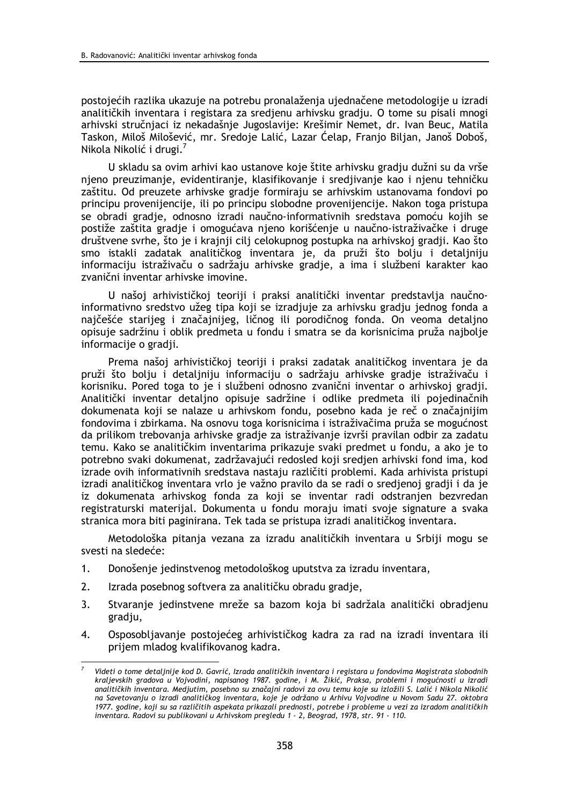postojećih razlika ukazuje na potrebu pronalaženja ujednačene metodologije u izradi analitičkih inventara i registara za sredjenu arhivsku gradju. O tome su pisali mnogi arhivski stručnjaci iz nekadašnje Jugoslavije: Krešimir Nemet, dr. Ivan Beuc, Matila Taskon, Miloš Milošević, mr. Sredoje Lalić, Lazar Ćelap, Franjo Biljan, Janoš Doboš, Nikola Nikolić i drugi.<sup>7</sup>

U skladu sa ovim arhivi kao ustanove koje štite arhivsku gradju dužni su da vrše njeno preuzimanje, evidentiranje, klasifikovanje i sredjivanje kao i njenu tehničku zaštitu. Od preuzete arhivske gradje formiraju se arhivskim ustanovama fondovi po principu provenijencije, ili po principu slobodne provenijencije. Nakon toga pristupa se obradi gradje, odnosno izradi naučno-informativnih sredstava pomoću kojih se postiže zaštita gradje i omogućava njeno korišćenje u naučno-istraživačke i druge društvene svrhe, što je i krajnji cilj celokupnog postupka na arhivskoj gradji. Kao što smo istakli zadatak analitičkog inventara je, da pruži što bolju i detaljniju informaciju istraživaču o sadržaju arhivske gradje, a ima i službeni karakter kao zvanični inventar arhivske imovine.

U našoj arhivističkoj teoriji i praksi analitički inventar predstavlja naučnoinformativno sredstvo užeg tipa koji se izradjuje za arhivsku gradju jednog fonda a najčešće starijeg i značajnijeg, ličnog ili porodičnog fonda. On veoma detaljno opisuje sadržinu i oblik predmeta u fondu i smatra se da korisnicima pruža najbolje informacije o gradji.

Prema našoj arhivističkoj teoriji i praksi zadatak analitičkog inventara je da pruži što bolju i detaljniju informaciju o sadržaju arhivske gradje istraživaču i korisniku. Pored toga to je i službeni odnosno zvanični inventar o arhivskoj gradji. Analitički inventar detaljno opisuje sadržine i odlike predmeta ili pojedinačnih dokumenata koji se nalaze u arhivskom fondu, posebno kada je reč o značajnijim fondovima i zbirkama. Na osnovu toga korisnicima i istraživačima pruža se mogućnost da prilikom trebovanja arhivske gradje za istraživanje izvrši pravilan odbir za zadatu temu. Kako se analitičkim inventarima prikazuje svaki predmet u fondu, a ako je to potrebno svaki dokumenat, zadržavajući redosled koji sredjen arhivski fond ima, kod izrade ovih informativnih sredstava nastaju različiti problemi. Kada arhivista pristupi izradi analitičkog inventara vrlo je važno pravilo da se radi o sredjenoj gradji i da je iz dokumenata arhivskog fonda za koji se inventar radi odstranjen bezvredan registraturski materijal. Dokumenta u fondu moraju imati svoje signature a svaka stranica mora biti paginirana. Tek tada se pristupa izradi analitičkog inventara.

Metodološka pitanja vezana za izradu analitičkih inventara u Srbiji mogu se svesti na sledeće:

- $1.$ Donošenje jedinstvenog metodološkog uputstva za izradu inventara,
- $2.$ Izrada posebnog softvera za analitičku obradu gradje,
- $\overline{3}$ . Stvaranje jedinstvene mreže sa bazom koja bi sadržala analitički obradjenu gradju,
- $\overline{4}$ . Osposobljavanje postojećeg arhivističkog kadra za rad na izradi inventara ili prijem mladog kvalifikovanog kadra.

Videti o tome detalinije kod D. Gavrić, Izrada analitičkih inventara i registara u fondovima Magistrata slobodnih kraljevskih gradova u Vojvodini, napisanog 1987. godine, i M. Žikić, Praksa, problemi i mogućnosti u izradi analitičkih inventara. Medjutim, posebno su značajni radovi za ovu temu koje su izložili S. Lalić i Nikola Nikolić na Savetovanju o izradi analitičkog inventara, koje je održano u Arhivu Vojvodine u Novom Sadu 27. oktobra 1977. godine, koji su sa različitih aspekata prikazali prednosti, potrebe i probleme u vezi za izradom analitičkih inventara. Radovi su publikovani u Arhivskom pregledu 1 - 2, Beograd, 1978, str. 91 - 110.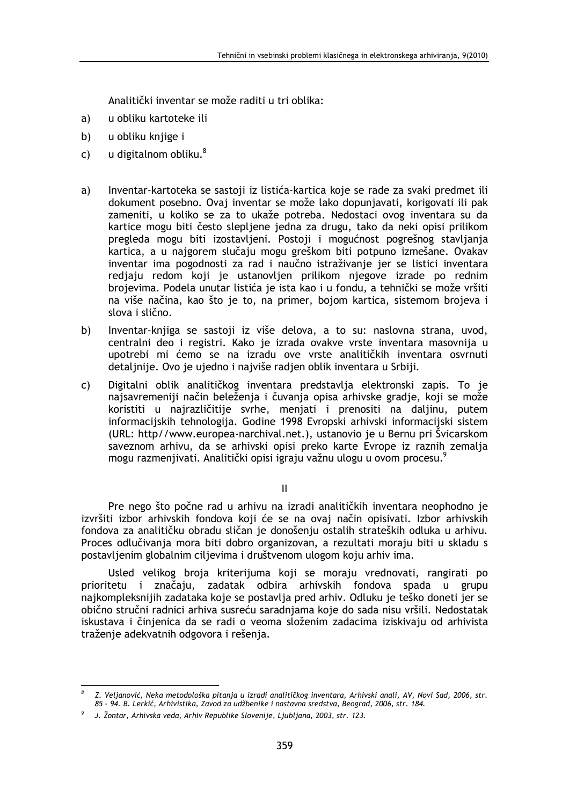Analitički inventar se može raditi u tri oblika:

- a) u obliku kartoteke ili
- b) u obliku knjige i
- u digitalnom obliku.<sup>8</sup>  $\mathsf{C}$ )
- Inventar-kartoteka se sastoji iz listića-kartica koje se rade za svaki predmet ili a) dokument posebno. Ovaj inventar se može lako dopunjavati, korigovati ili pak zameniti, u koliko se za to ukaže potreba. Nedostaci ovog inventara su da kartice mogu biti često slepljene jedna za drugu, tako da neki opisi prilikom pregleda mogu biti izostavljeni. Postoji i mogućnost pogrešnog stavljanja kartica, a u najgorem slučaju mogu greškom biti potpuno izmešane. Ovakav inventar ima pogodnosti za rad i naučno istraživanje jer se listici inventara rediaju redom koji je ustanovljen prilikom njegove izrade po rednim brojevima. Podela unutar listića je ista kao i u fondu, a tehnički se može vršiti na više načina, kao što je to, na primer, bojom kartica, sistemom brojeva i slova i slično.
- b) Inventar-knjiga se sastoji iz više delova, a to su: naslovna strana, uvod, centralni deo i registri. Kako je izrada ovakve vrste inventara masovnija u upotrebi mi ćemo se na izradu ove vrste analitičkih inventara osvrnuti detalinije. Ovo je ujedno i najviše radjen oblik inventara u Srbiji.
- Digitalni oblik analitičkog inventara predstavlja elektronski zapis. To je  $\mathsf{C}$ najsavremeniji način beleženja i čuvanja opisa arhivske gradje, koji se može koristiti u najrazličitije svrhe, menjati i prenositi na daljinu, putem informacijskih tehnologija. Godine 1998 Evropski arhivski informacijski sistem (URL: http//www.europea-narchival.net.), ustanovio je u Bernu pri Švicarskom saveznom arhivu, da se arhivski opisi preko karte Evrope iz raznih zemalja mogu razmenjivati. Analitički opisi igraju važnu ulogu u ovom procesu.<sup>9</sup>

 $\mathbf{H}$ 

Pre nego što počne rad u arhivu na izradi analitičkih inventara neophodno je izvršiti izbor arhivskih fondova koji će se na ovaj način opisivati. Izbor arhivskih fondova za analitičku obradu sličan je donošenju ostalih strateških odluka u arhivu. Proces odlučivanja mora biti dobro organizovan, a rezultati moraju biti u skladu s postavljenim globalnim ciljevima i društvenom ulogom koju arhiv ima.

Usled velikog broja kriterijuma koji se moraju vrednovati, rangirati po prioritetu i značaju, zadatak odbira arhivskih fondova spada u grupu najkompleksnijih zadataka koje se postavlja pred arhiv. Odluku je teško doneti jer se obično stručni radnici arhiva susreću saradnjama koje do sada nisu vršili. Nedostatak iskustava i činjenica da se radi o veoma složenim zadacima iziskivaju od arhivista traženje adekvatnih odgovora i rešenja.

Z. Veljanović, Neka metodološka pitanja u izradi analitičkog inventara, Arhivski anali, AV, Novi Sad, 2006, str. 85 - 94. B. Lerkić, Arhivistika, Zavod za udžbenike i nastavna sredstva, Beograd, 2006, str. 184.

J. Žontar, Arhivska veda, Arhiv Republike Slovenije, Ljubljana, 2003, str. 123.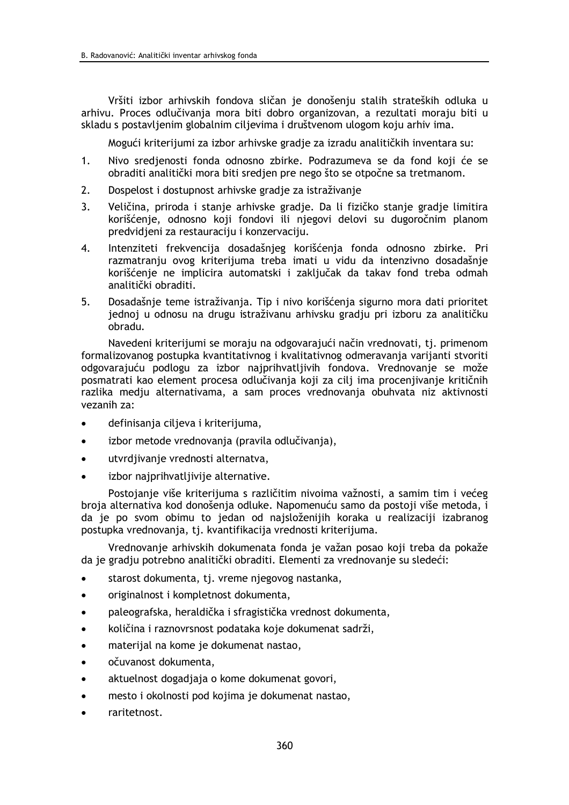Vršiti izbor arhivskih fondova sličan je donošenju stalih strateških odluka u arhivu. Proces odlučivanja mora biti dobro organizovan, a rezultati moraju biti u skladu s postavljenim globalnim ciljevima i društvenom ulogom koju arhiv ima.

Mogući kriterijumi za izbor arhivske gradje za izradu analitičkih inventara su:

- $1.$ Nivo sredjenosti fonda odnosno zbirke. Podrazumeva se da fond koji će se obraditi analitički mora biti sredjen pre nego što se otpočne sa tretmanom.
- $2.$ Dospelost i dostupnost arhivske gradie za istraživanie
- $\overline{3}$ . Veličina, priroda i stanje arhivske gradje. Da li fizičko stanje gradje limitira korišćenje, odnosno koji fondovi ili njegovi delovi su dugoročnim planom predvidjeni za restauraciju i konzervaciju.
- $\overline{4}$ . Intenziteti frekvencija dosadašnjeg korišćenja fonda odnosno zbirke. Pri razmatranju ovog kriterijuma treba imati u vidu da intenzivno dosadašnje korišćenje ne implicira automatski i zaključak da takav fond treba odmah analitički obraditi.
- 5. Dosadašnje teme istraživanja. Tip i nivo korišćenja sigurno mora dati prioritet jednoj u odnosu na drugu istraživanu arhivsku gradju pri izboru za analitičku obradu.

Navedeni kriterijumi se moraju na odgovarajući način vrednovati, tj. primenom formalizovanog postupka kvantitativnog i kvalitativnog odmeravanja varijanti stvoriti odgovarajuću podlogu za izbor najprihvatljivih fondova. Vrednovanje se može posmatrati kao element procesa odlučivanja koji za cilj ima procenjivanje kritičnih razlika medju alternativama, a sam proces vrednovanja obuhvata niz aktivnosti vezanih za:

- definisanja ciljeva i kriterijuma,
- izbor metode vrednovanja (pravila odlučivania).
- utvrdiivanie vrednosti alternatva,
- izbor najprihvatljivije alternative.

Postojanie više kriterijuma s različitim nivojma važnosti, a samim tim i većeg broja alternativa kod donošenja odluke. Napomenuću samo da postoji više metoda, i da je po svom obimu to jedan od najsloženijih koraka u realizaciji izabranog postupka vrednovanja, tj. kvantifikacija vrednosti kriterijuma.

Vrednovanje arhivskih dokumenata fonda je važan posao koji treba da pokaže da je gradju potrebno analitički obraditi. Elementi za vrednovanje su sledeći:

- starost dokumenta, tj. vreme njegovog nastanka,  $\bullet$
- originalnost i kompletnost dokumenta.
- paleografska, heraldička i sfragistička vrednost dokumenta,
- količina i raznovrsnost podataka koje dokumenat sadrži,
- materijal na kome je dokumenat nastao,
- očuvanost dokumenta,
- aktuelnost dogadiaja o kome dokumenat govori,
- mesto i okolnosti pod kojima je dokumenat nastao,
- raritetnost.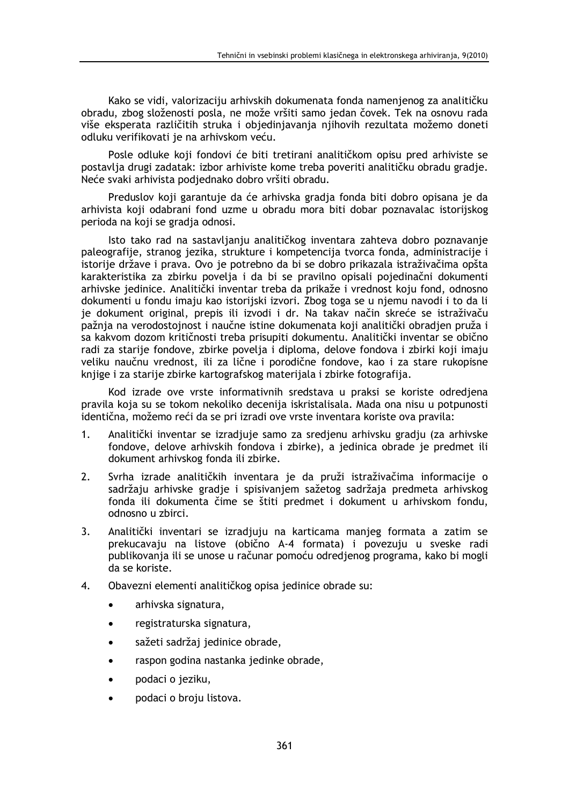Kako se vidi, valorizaciju arhivskih dokumenata fonda namenjenog za analitičku obradu, zbog složenosti posla, ne može vršiti samo jedan čovek. Tek na osnovu rada više eksperata različitih struka i objedinjavanja njihovih rezultata možemo doneti odluku verifikovati je na arhivskom veću.

Posle odluke koji fondovi će biti tretirani analitičkom opisu pred arhiviste se postavlja drugi zadatak: izbor arhiviste kome treba poveriti analitičku obradu gradje. Neće svaki arhivista podjednako dobro vršiti obradu.

Preduslov koji garantuje da će arhivska gradja fonda biti dobro opisana je da arhivista koji odabrani fond uzme u obradu mora biti dobar poznavalac istorijskog perioda na koji se gradja odnosi.

Isto tako rad na sastavljanju analitičkog inventara zahteva dobro poznavanje paleografije, stranog jezika, strukture i kompetencija tvorca fonda, administracije i istorije države i prava. Ovo je potrebno da bi se dobro prikazala istraživačima opšta karakteristika za zbirku povelja i da bi se pravilno opisali pojedinačni dokumenti arhivske jedinice. Analitički inventar treba da prikaže i vrednost koju fond, odnosno dokumenti u fondu imaju kao istorijski izvori. Zbog toga se u njemu navodi i to da li je dokument original, prepis ili izvodi i dr. Na takav način skreće se istraživaču pažnja na verodostojnost i naučne istine dokumenata koji analitički obradjen pruža i sa kakvom dozom kritičnosti treba prisupiti dokumentu. Analitički inventar se obično radi za starije fondove, zbirke povelja i diploma, delove fondova i zbirki koji imaju veliku naučnu vrednost, ili za lične i porodične fondove, kao i za stare rukopisne knjige i za starije zbirke kartografskog materijala i zbirke fotografija.

Kod izrade ove vrste informativnih sredstava u praksi se koriste odredjena pravila koja su se tokom nekoliko decenija iskristalisala. Mada ona nisu u potpunosti identična, možemo reći da se pri izradi ove vrste inventara koriste ova pravila:

- $1<sub>1</sub>$ Analitički inventar se izradiuje samo za sredienu arhivsku gradiu (za arhivske fondove, delove arhivskih fondova i zbirke), a jedinica obrade je predmet ili dokument arhivskog fonda ili zbirke.
- $2.$ Svrha izrade analitičkih inventara je da pruži istraživačima informacije o sadržaju arhivske gradje i spisivanjem sažetog sadržaja predmeta arhivskog fonda ili dokumenta čime se štiti predmet i dokument u arhivskom fondu, odnosno u zbirci
- Analitički inventari se izradjuju na karticama manjeg formata a zatim se  $3.$ prekucavaju na listove (obično A-4 formata) i povezuju u sveske radi publikovanja ili se unose u računar pomoću odredjenog programa, kako bi mogli da se koriste.
- $\overline{4}$ . Obavezni elementi analitičkog opisa jedinice obrade su:
	- arhivska signatura,
	- registraturska signatura,
	- sažeti sadržaj jedinice obrade,
	- raspon godina nastanka jedinke obrade,  $\bullet$
	- podaci o jeziku,
	- podaci o broju listova.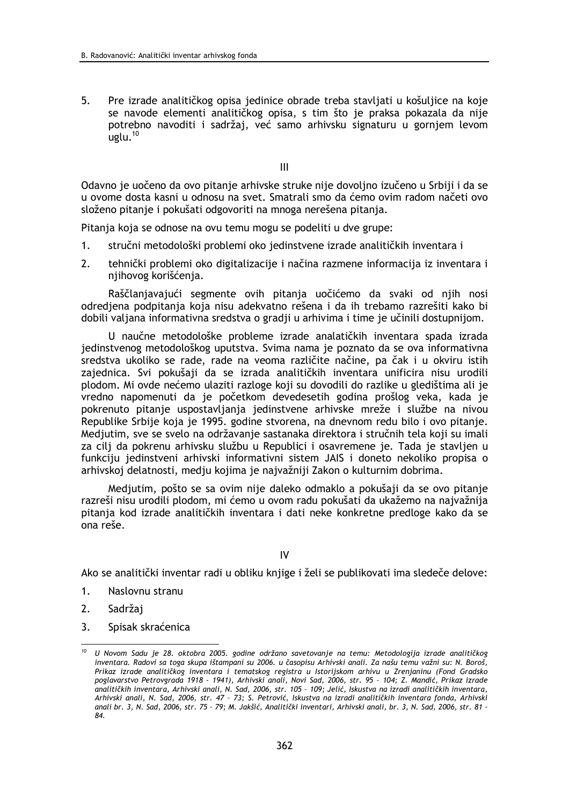5. Pre izrade analitičkog opisa jedinice obrade treba stavljati u košuljice na koje se navode elementi analitičkog opisa, s tim što je praksa pokazala da nije potrebno navoditi i sadržaj, već samo arhivsku signaturu u gornjem levom uglu. $10$ 

 $III$ 

Odavno je uočeno da ovo pitanje arhivske struke nije dovoljno izučeno u Srbiji i da se u ovome dosta kasni u odnosu na svet. Smatrali smo da ćemo ovim radom načeti ovo složeno pitanje i pokušati odgovoriti na mnoga nerešena pitanja.

Pitanja koja se odnose na ovu temu mogu se podeliti u dve grupe:

- $1.$ stručni metodološki problemi oko jedinstvene izrade analitičkih inventara i
- $2<sub>1</sub>$ tehnički problemi oko digitalizacije i načina razmene informacija iz inventara i njihovog korišćenja.

Raščlanjavajući segmente ovih pitanja uočićemo da svaki od njih nosi odredjena podpitanja koja nisu adekvatno rešena i da ih trebamo razrešiti kako bi dobili valjana informativna sredstva o gradji u arhivima i time je učinili dostupnijom.

U naučne metodološke probleme izrade analatičkih inventara spada izrada jedinstvenog metodološkog uputstva. Svima nama je poznato da se ova informativna sredstva ukoliko se rade, rade na veoma različite načine, pa čak i u okviru istih zajednica. Svi pokušaji da se izrada analitičkih inventara unificira nisu urodili plodom. Mi ovde nećemo ulaziti razloge koji su dovodili do razlike u gledištima ali je vredno napomenuti da je početkom devedesetih godina prošlog veka, kada je pokrenuto pitanje uspostavljanja jedinstvene arhivske mreže i službe na nivou Republike Srbije koja je 1995. godine stvorena, na dnevnom redu bilo i ovo pitanje. Medjutim, sve se svelo na održavanje sastanaka direktora i stručnih tela koji su imali za cili da pokrenu arhivsku službu u Republici i osavremene je. Tada je stavljen u funkciju jedinstveni arhivski informativni sistem JAIS i doneto nekoliko propisa o arhivskoj delatnosti, medju kojima je najvažniji Zakon o kulturnim dobrima.

Medjutim, pošto se sa ovim nije daleko odmaklo a pokušaji da se ovo pitanje razreši nisu urodili plodom, mi ćemo u ovom radu pokušati da ukažemo na najvažnija pitanja kod izrade analitičkih inventara i dati neke konkretne predloge kako da se ona reše.

IV

Ako se analitički inventar radi u obliku knjige i želi se publikovati ima sledeče delove:

- Naslovnu stranu 1.
- 2. Sadržaj
- $3.$ Spisak skraćenica

<sup>&</sup>lt;sup>10</sup> U Novom Sadu je 28. oktobra 2005. godine održano savetovanje na temu: Metodologija izrade analitičkog inventara. Radovi sa toga skupa ištampani su 2006. u časopisu Arhivski anali. Za našu temu važni su: N. Boroš, Prikaz izrade analitičkog inventara i tematskog registra u Istorijskom arhivu u Zrenjaninu (Fond Gradsko poglavarstvo Petrovgrada 1918 - 1941), Arhivski anali, Novi Sad, 2006, str. 95 - 104; Z. Mandić, Prikaz izrade analitičkih inventara, Arhivski anali, N. Sad, 2006, str. 105 - 109; Jelić, Iskustva na izradi analitičkih inventara, Arhivski anali, N. Sad, 2006, str. 47 - 73; S. Petrović, Iskustva na izradi analitičkih inventara fonda, Arhivski anali br. 3, N. Sad, 2006, str. 75 - 79; M. Jakšić, Analitički inventari, Arhivski anali, br. 3, N. Sad, 2006, str. 81 -84.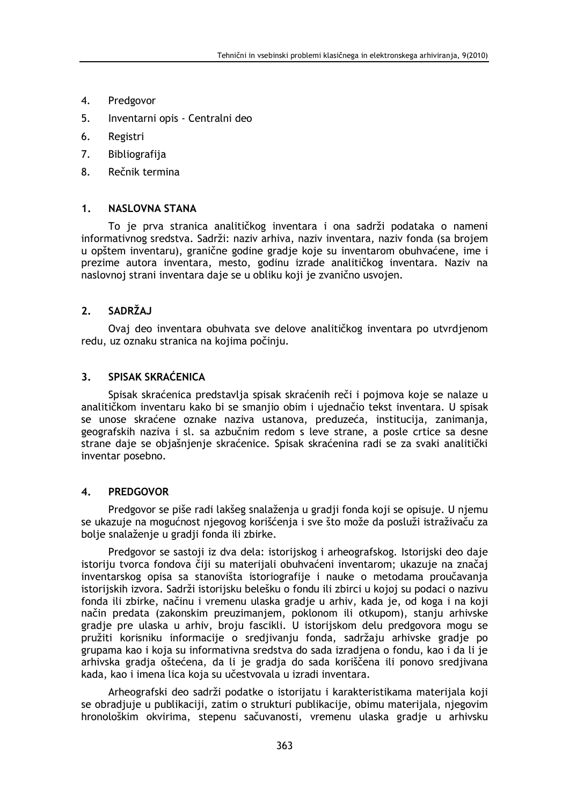- 4. Predgovor
- 5. Inventarni opis - Centralni deo
- 6. Registri
- 7. Bibliografija
- 8. Rečnik termina

#### $1<sup>1</sup>$ **NASLOVNA STANA**

To je prva stranica analitičkog inventara i ona sadrži podataka o nameni informativnog sredstva. Sadrži: naziv arhiva, naziv inventara, naziv fonda (sa brojem u opštem inventaru), granične godine gradje koje su inventarom obuhvaćene, ime i prezime autora inventara, mesto, godinu izrade analitičkog inventara. Naziv na naslovnoj strani inventara daje se u obliku koji je zvanično usvojen.

#### **SADRŽAJ**  $2.$

Ovaj deo inventara obuhvata sve delove analitičkog inventara po utvrdjenom redu, uz oznaku stranica na kojima počinju.

#### SPISAK SKRAĆENICA  $3<sub>1</sub>$

Spisak skraćenica predstavlja spisak skraćenih reči i pojmova koje se nalaze u analitičkom inventaru kako bi se smanjio obim i ujednačio tekst inventara. U spisak se unose skraćene oznake naziva ustanova, preduzeća, institucija, zanimanja, geografskih naziva i sl. sa azbučnim redom s leve strane, a posle crtice sa desne strane daje se objašnjenje skraćenice. Spisak skraćenina radi se za svaki analitički inventar posebno.

#### $\overline{\mathbf{A}}$ **PREDGOVOR**

Predgovor se piše radi lakšeg snalaženja u gradji fonda koji se opisuje. U njemu se ukazuje na mogućnost njegovog korišćenja i sve što može da posluži istraživaču za bolje snalaženje u gradji fonda ili zbirke.

Predgovor se sastoji iz dva dela: istorijskog i arheografskog. Istorijski deo daje istoriju tvorca fondova čiji su materijali obuhvaćeni inventarom; ukazuje na značaj inventarskog opisa sa stanovišta istoriografije i nauke o metodama proučavanja istorijskih izvora. Sadrži istorijsku belešku o fondu ili zbirci u kojoj su podaci o nazivu fonda ili zbirke, načinu i vremenu ulaska gradje u arhiv, kada je, od koga i na koji način predata (zakonskim preuzimanjem, poklonom ili otkupom), stanju arhivske gradje pre ulaska u arhiv, broju fascikli. U istorijskom delu predgovora mogu se pružiti korisniku informacije o sredjivanju fonda, sadržaju arhivske gradje po grupama kao i koja su informativna sredstva do sada izradjena o fondu, kao i da li je arhivska gradja oštećena, da li je gradja do sada koriščena ili ponovo sredjivana kada, kao i imena lica koja su učestvovala u izradi inventara.

Arheografski deo sadrži podatke o istorijatu i karakteristikama materijala koji se obradjuje u publikaciji, zatim o strukturi publikacije, obimu materijala, njegovim hronološkim okvirima, stepenu sačuvanosti, vremenu ulaska gradje u arhivsku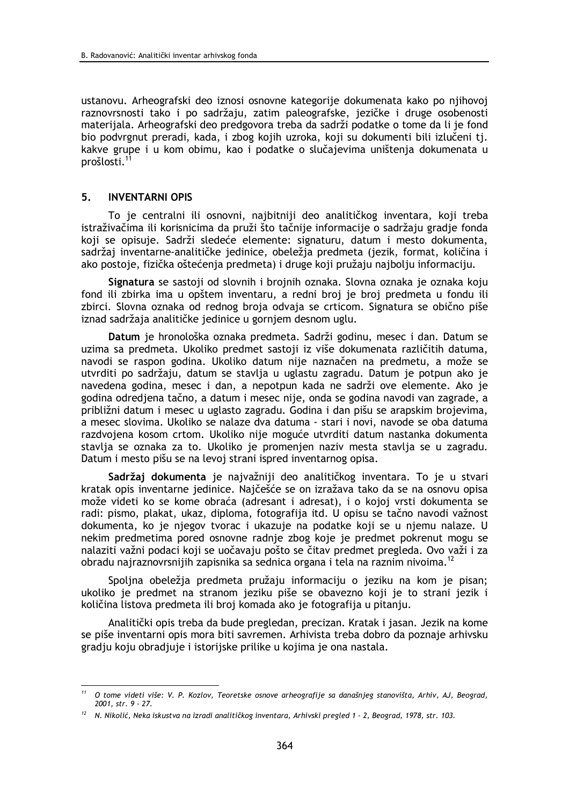ustanovu. Arheografski deo iznosi osnovne kategorije dokumenata kako po njihovoj raznovrsnosti tako i po sadržaju, zatim paleografske, jezičke i druge osobenosti materijala. Arheografski deo predgovora treba da sadrži podatke o tome da li je fond bio podvrgnut preradi, kada, i zbog kojih uzroka, koji su dokumenti bili izlučeni tj. kakve grupe i u kom obimu, kao i podatke o slučajevima uništenja dokumenata u prošlosti.<sup>1</sup>

#### 5. **INVENTARNI OPIS**

To je centralni ili osnovni, najbitniji deo analitičkog inventara, koji treba istraživačima ili korisnicima da pruži što tačnije informacije o sadržaju gradje fonda koji se opisuje. Sadrži sledeće elemente: signaturu, datum i mesto dokumenta, sadržaj inventarne-analitičke jedinice, obeležia predmeta (jezik, format, količina i ako postoje, fizička oštećenja predmeta) i druge koji pružaju najbolju informaciju.

Signatura se sastoji od slovnih i brojnih oznaka. Slovna oznaka je oznaka koju fond ili zbirka ima u opštem inventaru, a redni broj je broj predmeta u fondu ili zbirci. Slovna oznaka od rednog broja odvaja se crticom. Signatura se obično piše iznad sadržaja analitičke jedinice u gornjem desnom uglu.

Datum je hronološka oznaka predmeta. Sadrži godinu, mesec i dan. Datum se uzima sa predmeta. Ukoliko predmet sastoji iz više dokumenata različitih datuma, navodi se raspon godina. Ukoliko datum nije naznačen na predmetu, a može se utvrditi po sadržaju, datum se stavlja u uglastu zagradu. Datum je potpun ako je navedena godina, mesec i dan, a nepotpun kada ne sadrži ove elemente. Ako je godina odredjena tačno, a datum i mesec nije, onda se godina navodi van zagrade, a približni datum i mesec u uglasto zagradu. Godina i dan pišu se arapskim brojevima, a mesec slovima. Ukoliko se nalaze dva datuma - stari i novi, navode se oba datuma razdvojena kosom crtom. Ukoliko nije moguće utvrditi datum nastanka dokumenta stavlia se oznaka za to. Ukoliko je promenjen naziv mesta stavlja se u zagradu. Datum i mesto pišu se na levoi strani ispred inventarnog opisa.

Sadržaj dokumenta je najvažniji deo analitičkog inventara. To je u stvari kratak opis inventarne jedinice. Najčešće se on izražava tako da se na osnovu opisa može videti ko se kome obraća (adresant i adresat), i o kojoj vrsti dokumenta se radi: pismo, plakat, ukaz, diploma, fotografija itd. U opisu se tačno navodi važnost dokumenta, ko je njegov tvorac i ukazuje na podatke koji se u njemu nalaze. U nekim predmetima pored osnovne radnje zbog koje je predmet pokrenut mogu se nalaziti važni podaci koji se uočavaju pošto se čitav predmet pregleda. Ovo važi i za obradu najraznovrsnijih zapisnika sa sednica organa i tela na raznim nivoima.<sup>12</sup>

Spoljna obeležja predmeta pružaju informaciju o jeziku na kom je pisan; ukoliko ie predmet na stranom jeziku piše se obavezno koji je to strani jezik i količina listova predmeta ili broj komada ako je fotografija u pitanju.

Analitički opis treba da bude pregledan, precizan. Kratak i jasan. Jezik na kome se piše inventarni opis mora biti savremen. Arhivista treba dobro da poznaje arhivsku gradju koju obradjuje i istorijske prilike u kojima je ona nastala.

<sup>&</sup>lt;sup>11</sup> O tome videti više: V. P. Kozlov, Teoretske osnove arheografije sa današnjeg stanovišta, Arhiv, AJ, Beograd, 2001. str. 9 - 27.

<sup>&</sup>lt;sup>12</sup> N. Nikolić, Neka iskustva na izradi analitičkog inventara, Arhivski pregled 1 - 2, Beograd, 1978, str. 103.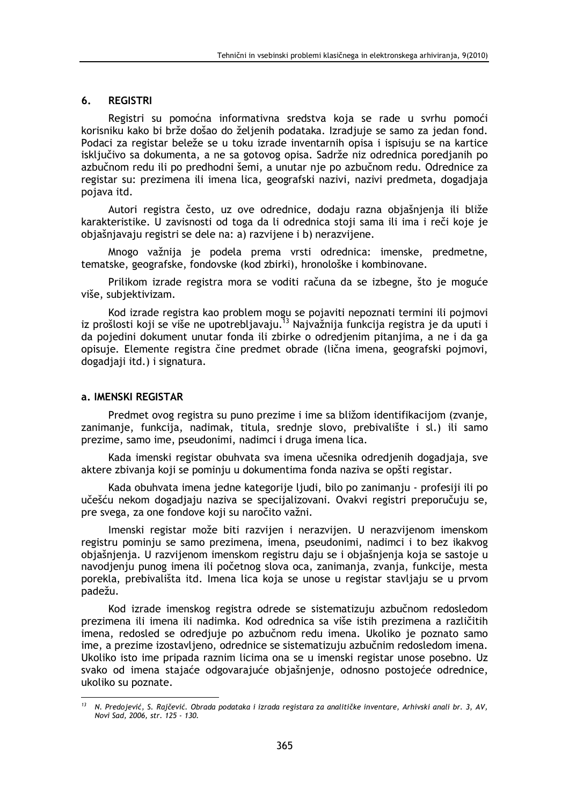#### 6. **REGISTRI**

Registri su pomoćna informativna sredstva koja se rade u svrhu pomoći korisniku kako bi brže došao do željenih podataka. Izradjuje se samo za jedan fond. Podaci za registar beleže se u toku izrade inventarnih opisa i ispisuju se na kartice isključivo sa dokumenta, a ne sa gotovog opisa. Sadrže niz odrednica poredjanih po azbučnom redu ili po predhodni šemi, a unutar nje po azbučnom redu. Odrednice za registar su: prezimena ili imena lica, geografski nazivi, nazivi predmeta, dogadjaja pojava itd.

Autori registra često, uz ove odrednice, dodaju razna objašnjenja ili bliže karakteristike. U zavisnosti od toga da li odrednica stoji sama ili ima i reči koje je objašnjavaju registri se dele na: a) razvijene i b) nerazvijene.

Mnogo važnija je podela prema vrsti odrednica: imenske, predmetne, tematske, geografske, fondovske (kod zbirki), hronološke i kombinovane.

Prilikom izrade registra mora se voditi računa da se izbegne, što je moguće više, subjektivizam.

Kod izrade registra kao problem mogu se pojaviti nepoznati termini ili pojmovi iz prošlosti koji se više ne upotrebljavaju.<sup>13</sup> Najvažnija funkcija registra je da uputi i da pojedini dokument unutar fonda ili zbirke o odredjenim pitanjima, a ne i da ga opisuje. Elemente registra čine predmet obrade (lična imena, geografski pojmovi, dogadiaii itd.) i signatura.

# a. IMENSKI REGISTAR

Predmet ovog registra su puno prezime i ime sa bližom identifikacijom (zvanje, zanimanie, funkcija, nadimak, titula, srednie slovo, prebivalište i sl.) ili samo prezime, samo ime, pseudonimi, nadimci i druga imena lica.

Kada imenski registar obuhvata sva imena učesnika odredienih dogadiaja, sve aktere zbivania koji se pominiu u dokumentima fonda naziva se opšti registar.

Kada obuhvata imena jedne kategorije ljudi, bilo po zanimanju - profesiji ili po učešću nekom dogadjaju naziva se specijalizovani. Ovakvi registri preporučuju se, pre svega, za one fondove koji su naročito važni.

Imenski registar može biti razvijen i nerazvijen. U nerazvijenom imenskom registru pominju se samo prezimena, imena, pseudonimi, nadimci i to bez ikakvog objašnjenja. U razvijenom imenskom registru daju se i objašnjenja koja se sastoje u navodjenju punog imena ili početnog slova oca, zanimanja, zvanja, funkcije, mesta porekla, prebivališta itd. Imena lica koja se unose u registar stavljaju se u prvom padežu.

Kod izrade imenskog registra odrede se sistematizuju azbučnom redosledom prezimena ili imena ili nadimka. Kod odrednica sa više istih prezimena a različitih imena, redosled se odredjuje po azbučnom redu imena. Ukoliko je poznato samo ime, a prezime izostavljeno, odrednice se sistematizuju azbučnim redosledom imena. Ukoliko isto ime pripada raznim licima ona se u imenski registar unose posebno. Uz svako od imena stajaće odgovarajuće objašnjenje, odnosno postojeće odrednice, ukoliko su poznate.

 $13<sup>13</sup>$ N. Predojević, S. Rajčević. Obrada podataka i izrada registara za analitičke inventare, Arhivski anali br. 3, AV, Novi Sad, 2006, str. 125 - 130.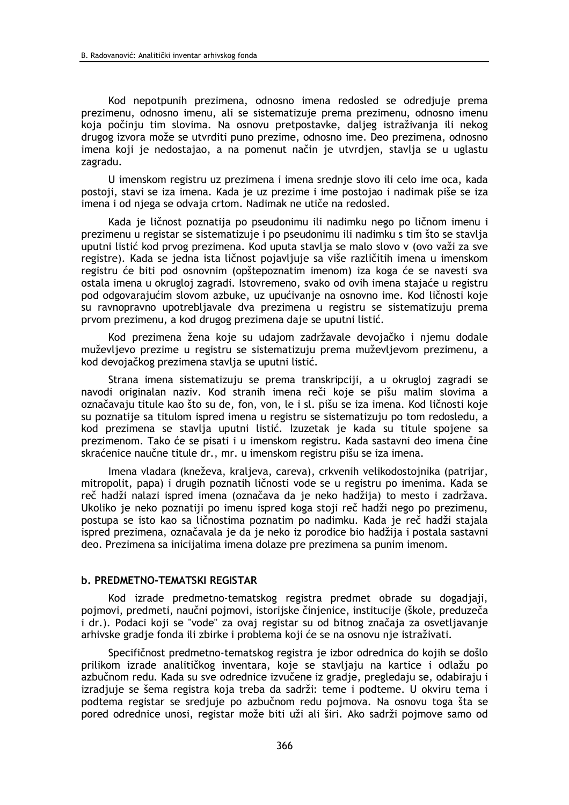Kod nepotpunih prezimena, odnosno imena redosled se odredjuje prema prezimenu, odnosno imenu, ali se sistematizuje prema prezimenu, odnosno imenu koja počinju tim slovima. Na osnovu pretpostavke, daljeg istraživanja ili nekog drugog izvora može se utvrditi puno prezime, odnosno ime. Deo prezimena, odnosno imena koji je nedostajao, a na pomenut način je utvrdjen, stavlja se u uglastu zagradu.

U imenskom registru uz prezimena i imena srednje slovo ili celo ime oca, kada postoji, stavi se iza imena. Kada je uz prezime i ime postojao i nadimak piše se iza imena i od njega se odvaja crtom. Nadimak ne utiče na redosled.

Kada je ličnost poznatija po pseudonimu ili nadimku nego po ličnom imenu i prezimenu u registar se sistematizuje i po pseudonimu ili nadimku s tim što se stavlja uputni listić kod prvog prezimena. Kod uputa stavlja se malo slovo v (ovo važi za sve registre). Kada se jedna ista ličnost pojavljuje sa više različitih imena u imenskom registru će biti pod osnovnim (opštepoznatim imenom) iza koga će se navesti sva ostala imena u okrugloj zagradi. Istovremeno, svako od ovih imena stajaće u registru pod odgovarajućim slovom azbuke, uz upućivanje na osnovno ime. Kod ličnosti koje su ravnopravno upotrebljavale dva prezimena u registru se sistematizuju prema prvom prezimenu, a kod drugog prezimena daje se uputni listić.

Kod prezimena žena koje su udajom zadržavale devojačko i njemu dodale muževljevo prezime u registru se sistematizuju prema muževljevom prezimenu, a kod devojačkog prezimena stavlja se uputni listić.

Strana imena sistematizuju se prema transkripciji, a u okrugloj zagradi se navodi originalan naziv. Kod stranih imena reči koje se pišu malim slovima a označavaju titule kao što su de, fon, von, le i sl. pišu se iza imena. Kod ličnosti koje su poznatije sa titulom ispred imena u registru se sistematizuju po tom redosledu, a kod prezimena se stavlja uputni listić. Izuzetak je kada su titule spojene sa prezimenom. Tako će se pisati i u imenskom registru. Kada sastavni deo imena čine skraćenice naučne titule dr., mr. u imenskom registru pišu se iza imena.

Imena vladara (kneževa, kraljeva, careva), crkvenih velikodostojnika (patrijar, mitropolit, papa) i drugih poznatih ličnosti vode se u registru po imenima. Kada se reč hadži nalazi ispred imena (označava da je neko hadžija) to mesto i zadržava. Ukoliko je neko poznatiji po imenu ispred koga stoji reč hadži nego po prezimenu, postupa se isto kao sa ličnostima poznatim po nadimku. Kada je reč hadži stajala ispred prezimena, označavala je da je neko iz porodice bio hadžija i postala sastavni deo. Prezimena sa inicijalima imena dolaze pre prezimena sa punim imenom.

# **b. PREDMETNO-TEMATSKI REGISTAR**

Kod izrade predmetno-tematskog registra predmet obrade su dogadiaji, pojmovi, predmeti, naučni pojmovi, istorijske činjenice, institucije (škole, preduzeča i dr.). Podaci koji se "vode" za ovaj registar su od bitnog značaja za osvetljavanje arhivske gradje fonda ili zbirke i problema koji će se na osnovu nje istraživati.

Specifičnost predmetno-tematskog registra je izbor odrednica do kojih se došlo prilikom izrade analitičkog inventara, koje se stavljaju na kartice i odlažu po azbučnom redu. Kada su sve odrednice izvučene iz gradje, pregledaju se, odabiraju i izradjuje se šema registra koja treba da sadrži: teme i podteme. U okviru tema i podtema registar se sredjuje po azbučnom redu pojmova. Na osnovu toga šta se pored odrednice unosi, registar može biti uži ali širi. Ako sadrži poimove samo od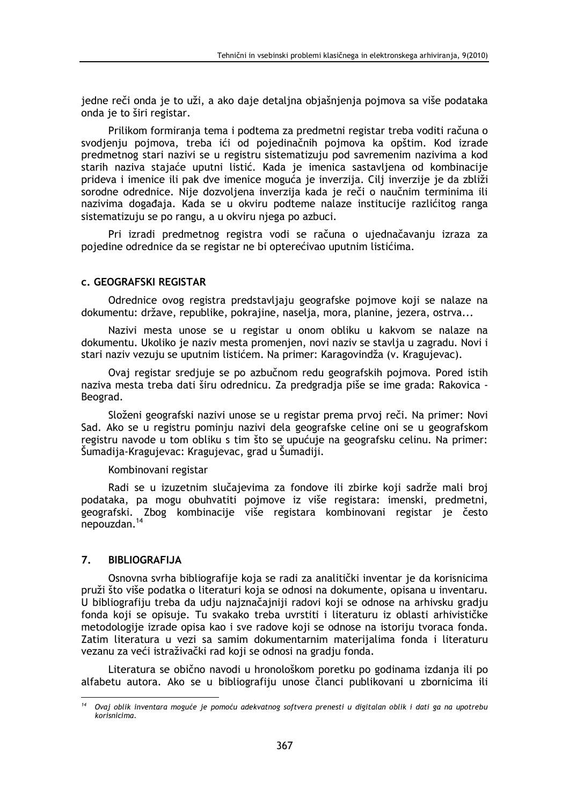jedne reči onda je to uži, a ako daje detaljna objašnjenja pojmova sa više podataka onda je to širi registar.

Prilikom formiranja tema i podtema za predmetni registar treba voditi računa o svodjenju pojmova, treba ići od pojedinačnih pojmova ka opštim. Kod izrade predmetnog stari nazivi se u registru sistematizuju pod savremenim nazivima a kod starih naziva stajaće uputni listić. Kada je imenica sastavljena od kombinacije prideva i imenice ili pak dve imenice moguća je inverzija. Cilj inverzije je da zbliži sorodne odrednice. Nije dozvoljena inverzija kada je reči o naučnim terminima ili nazivima događaja. Kada se u okviru podteme nalaze institucije razlićitog ranga sistematizuju se po rangu, a u okviru njega po azbuci.

Pri izradi predmetnog registra vodi se računa o ujednačavanju izraza za pojedine odrednice da se registar ne bi opterećivao uputnim listićima.

# C. GEOGRAFSKI REGISTAR

Odrednice ovog registra predstavljaju geografske pojmove koji se nalaze na dokumentu: države, republike, pokrajine, naselja, mora, planine, jezera, ostrva...

Nazivi mesta unose se u registar u onom obliku u kakvom se nalaze na dokumentu. Ukoliko je naziv mesta promenjen, novi naziv se stavlja u zagradu. Novi i stari naziv vezuju se uputnim listićem. Na primer: Karagovindža (v. Kragujevac).

Ovaj registar sredjuje se po azbučnom redu geografskih pojmova. Pored istih naziva mesta treba dati širu odrednicu. Za predgradja piše se ime grada: Rakovica -Beograd.

Složeni geografski nazivi unose se u registar prema prvoj reči. Na primer: Novi Sad. Ako se u registru pominiu nazivi dela geografske celine oni se u geografskom registru navode u tom obliku s tim što se upućuje na geografsku celinu. Na primer: Šumadija-Kragujevac: Kragujevac, grad u Šumadiji.

# Kombinovani registar

Radi se u izuzetnim slučajevima za fondove ili zbirke koji sadrže mali broj podataka, pa mogu obuhvatiti pojmove iz više registara: imenski, predmetni, geografski. Zbog kombinacije više registara kombinovani registar je često nepouzdan.<sup>14</sup>

#### $\overline{7}$ . **BIBLIOGRAFIJA**

Osnovna svrha bibliografije koja se radi za analitički inventar je da korisnicima pruži što više podatka o literaturi koja se odnosi na dokumente, opisana u inventaru. U bibliografiju treba da udju najznačajniji radovi koji se odnose na arhivsku gradju fonda koji se opisuje. Tu svakako treba uvrstiti i literaturu iz oblasti arhivističke metodologije izrade opisa kao i sve radove koji se odnose na istoriju tvoraca fonda. Zatim literatura u vezi sa samim dokumentarnim materijalima fonda i literaturu vezanu za veći istraživački rad koji se odnosi na gradju fonda.

Literatura se obično navodi u hronološkom poretku po godinama izdanja ili po alfabetu autora. Ako se u bibliografiju unose članci publikovani u zbornicima ili

Ovaj oblik inventara moguće je pomoću adekvatnog softvera prenesti u digitalan oblik i dati ga na upotrebu korisnicima.